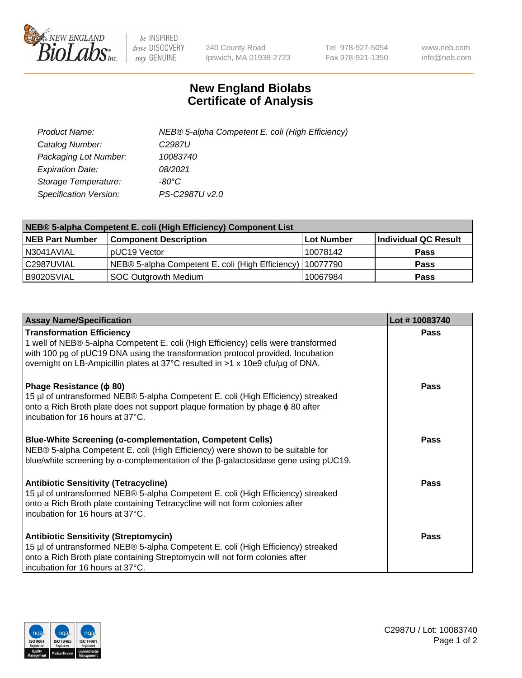

 $be$  INSPIRED drive DISCOVERY stay GENUINE

240 County Road Ipswich, MA 01938-2723 Tel 978-927-5054 Fax 978-921-1350 www.neb.com info@neb.com

## **New England Biolabs Certificate of Analysis**

| Product Name:                 | NEB® 5-alpha Competent E. coli (High Efficiency) |
|-------------------------------|--------------------------------------------------|
| Catalog Number:               | C <sub>2987</sub> U                              |
| Packaging Lot Number:         | 10083740                                         |
| <b>Expiration Date:</b>       | 08/2021                                          |
| Storage Temperature:          | -80°C                                            |
| <b>Specification Version:</b> | PS-C2987U v2.0                                   |

| NEB® 5-alpha Competent E. coli (High Efficiency) Component List |                                                             |            |                      |  |
|-----------------------------------------------------------------|-------------------------------------------------------------|------------|----------------------|--|
| <b>NEB Part Number</b>                                          | <b>Component Description</b>                                | Lot Number | Individual QC Result |  |
| N3041AVIAL                                                      | pUC19 Vector                                                | 10078142   | <b>Pass</b>          |  |
| C2987UVIAL                                                      | NEB® 5-alpha Competent E. coli (High Efficiency)   10077790 |            | <b>Pass</b>          |  |
| B9020SVIAL                                                      | SOC Outgrowth Medium                                        | 10067984   | <b>Pass</b>          |  |

| <b>Assay Name/Specification</b>                                                                                                                                                                                                                                                            | Lot #10083740 |
|--------------------------------------------------------------------------------------------------------------------------------------------------------------------------------------------------------------------------------------------------------------------------------------------|---------------|
| <b>Transformation Efficiency</b><br>1 well of NEB® 5-alpha Competent E. coli (High Efficiency) cells were transformed<br>with 100 pg of pUC19 DNA using the transformation protocol provided. Incubation<br>overnight on LB-Ampicillin plates at 37°C resulted in >1 x 10e9 cfu/µg of DNA. | Pass          |
| Phage Resistance ( $\phi$ 80)<br>15 µl of untransformed NEB® 5-alpha Competent E. coli (High Efficiency) streaked<br>onto a Rich Broth plate does not support plaque formation by phage $\phi$ 80 after<br>incubation for 16 hours at 37°C.                                                | Pass          |
| <b>Blue-White Screening (α-complementation, Competent Cells)</b><br>NEB® 5-alpha Competent E. coli (High Efficiency) were shown to be suitable for<br>blue/white screening by $\alpha$ -complementation of the $\beta$ -galactosidase gene using pUC19.                                    | Pass          |
| Antibiotic Sensitivity (Tetracycline)<br>15 µl of untransformed NEB® 5-alpha Competent E. coli (High Efficiency) streaked<br>onto a Rich Broth plate containing Tetracycline will not form colonies after<br>incubation for 16 hours at 37°C.                                              | Pass          |
| <b>Antibiotic Sensitivity (Streptomycin)</b><br>15 µl of untransformed NEB® 5-alpha Competent E. coli (High Efficiency) streaked<br>onto a Rich Broth plate containing Streptomycin will not form colonies after<br>incubation for 16 hours at 37°C.                                       | Pass          |